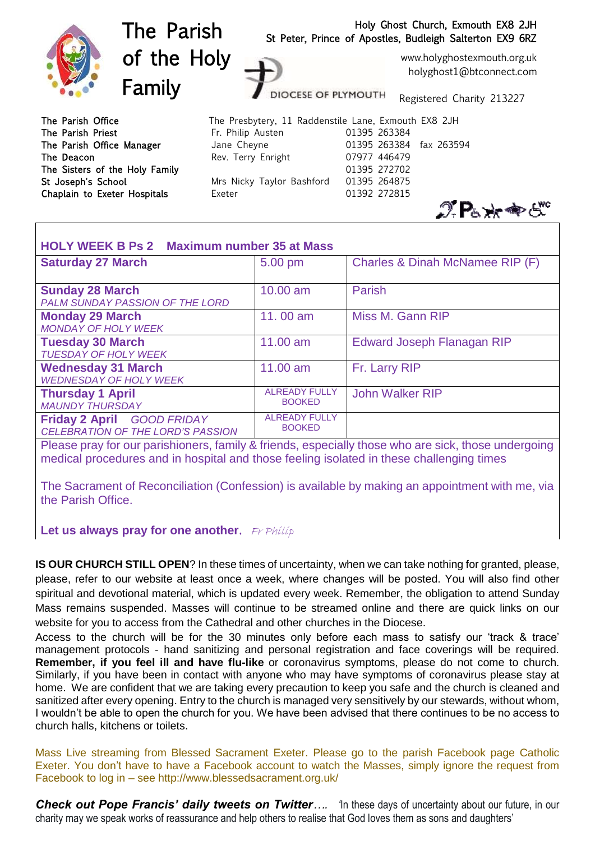

| <b>HOLY WEEK B Ps 2 Maximum number 35 at Mass</b>                             |                                       |                                 |
|-------------------------------------------------------------------------------|---------------------------------------|---------------------------------|
| <b>Saturday 27 March</b>                                                      | 5.00 pm                               | Charles & Dinah McNamee RIP (F) |
| <b>Sunday 28 March</b><br>PALM SUNDAY PASSION OF THE LORD                     | $10.00$ am                            | Parish                          |
| <b>Monday 29 March</b><br><b>MONDAY OF HOLY WEEK</b>                          | 11,00 am                              | Miss M. Gann RIP                |
| <b>Tuesday 30 March</b><br><b>TUESDAY OF HOLY WEEK</b>                        | 11.00 am                              | Edward Joseph Flanagan RIP      |
| <b>Wednesday 31 March</b><br><b>WEDNESDAY OF HOLY WEEK</b>                    | 11.00 am                              | Fr. Larry RIP                   |
| <b>Thursday 1 April</b><br><b>MAUNDY THURSDAY</b>                             | <b>ALREADY FULLY</b><br><b>BOOKED</b> | <b>John Walker RIP</b>          |
| <b>Friday 2 April GOOD FRIDAY</b><br><b>CELEBRATION OF THE LORD'S PASSION</b> | <b>ALREADY FULLY</b><br><b>BOOKED</b> |                                 |

Please pray for our parishioners, family & friends, especially those who are sick, those undergoing medical procedures and in hospital and those feeling isolated in these challenging times

The Sacrament of Reconciliation (Confession) is available by making an appointment with me, via the Parish Office.

**Let us always pray for one another.** Fr Philip

**IS OUR CHURCH STILL OPEN**? In these times of uncertainty, when we can take nothing for granted, please, please, refer to our website at least once a week, where changes will be posted. You will also find other spiritual and devotional material, which is updated every week. Remember, the obligation to attend Sunday Mass remains suspended. Masses will continue to be streamed online and there are quick links on our website for you to access from the Cathedral and other churches in the Diocese.

Access to the church will be for the 30 minutes only before each mass to satisfy our 'track & trace' management protocols - hand sanitizing and personal registration and face coverings will be required. **Remember, if you feel ill and have flu-like** or coronavirus symptoms, please do not come to church. Similarly, if you have been in contact with anyone who may have symptoms of coronavirus please stay at home. We are confident that we are taking every precaution to keep you safe and the church is cleaned and sanitized after every opening. Entry to the church is managed very sensitively by our stewards, without whom, I wouldn't be able to open the church for you. We have been advised that there continues to be no access to church halls, kitchens or toilets.

Mass Live streaming from Blessed Sacrament Exeter. Please go to the parish Facebook page Catholic Exeter. You don't have to have a Facebook account to watch the Masses, simply ignore the request from Facebook to log in – see http://www.blessedsacrament.org.uk/

*Check out Pope Francis' daily tweets on Twitter....* <sup>1</sup> In these days of uncertainty about our future, in our charity may we speak works of reassurance and help others to realise that God loves them as sons and daughters'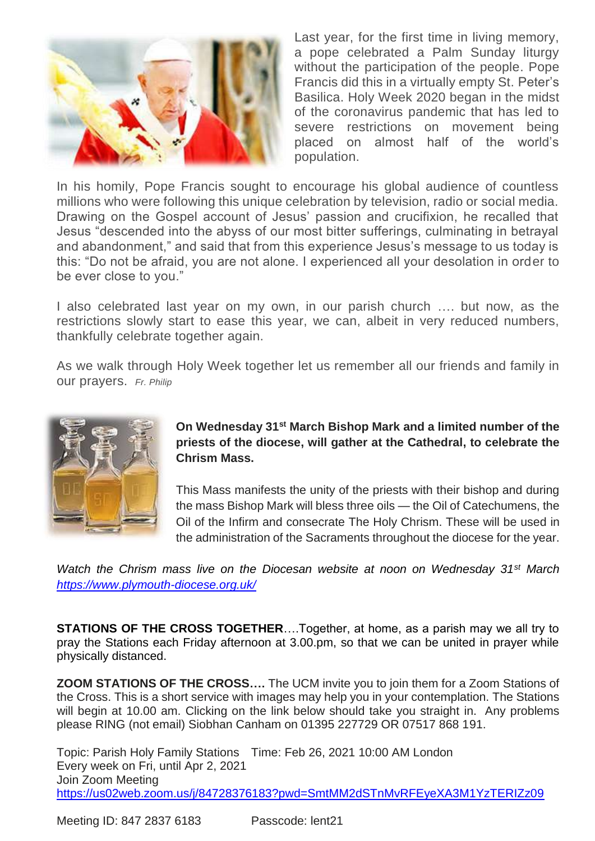

Last year, for the first time in living memory, a pope celebrated a Palm Sunday liturgy without the participation of the people. Pope Francis did this in a virtually empty St. Peter's Basilica. Holy Week 2020 began in the midst of the coronavirus pandemic that has led to severe restrictions on movement being placed on almost half of the world's population.

In his homily, Pope Francis sought to encourage his global audience of countless millions who were following this unique celebration by television, radio or social media. Drawing on the Gospel account of Jesus' passion and crucifixion, he recalled that Jesus "descended into the abyss of our most bitter sufferings, culminating in betrayal and abandonment," and said that from this experience Jesus's message to us today is this: "Do not be afraid, you are not alone. I experienced all your desolation in order to be ever close to you."

I also celebrated last year on my own, in our parish church …. but now, as the restrictions slowly start to ease this year, we can, albeit in very reduced numbers, thankfully celebrate together again.

As we walk through Holy Week together let us remember all our friends and family in our prayers. *Fr. Philip*



**On Wednesday 31st March Bishop Mark and a limited number of the priests of the diocese, will gather at the Cathedral, to celebrate the Chrism Mass.**

This Mass manifests the unity of the priests with their bishop and during the mass Bishop Mark will bless three oils — the Oil of Catechumens, the Oil of the Infirm and consecrate The Holy Chrism. These will be used in the administration of the Sacraments throughout the diocese for the year.

*Watch the Chrism mass live on the Diocesan website at noon on Wednesday 31st March <https://www.plymouth-diocese.org.uk/>*

**STATIONS OF THE CROSS TOGETHER**….Together, at home, as a parish may we all try to pray the Stations each Friday afternoon at 3.00.pm, so that we can be united in prayer while physically distanced.

**ZOOM STATIONS OF THE CROSS….** The UCM invite you to join them for a Zoom Stations of the Cross. This is a short service with images may help you in your contemplation. The Stations will begin at 10.00 am. Clicking on the link below should take you straight in. Any problems please RING (not email) Siobhan Canham on 01395 227729 OR 07517 868 191.

Topic: Parish Holy Family Stations Time: Feb 26, 2021 10:00 AM London Every week on Fri, until Apr 2, 2021 Join Zoom Meeting <https://us02web.zoom.us/j/84728376183?pwd=SmtMM2dSTnMvRFEyeXA3M1YzTERIZz09>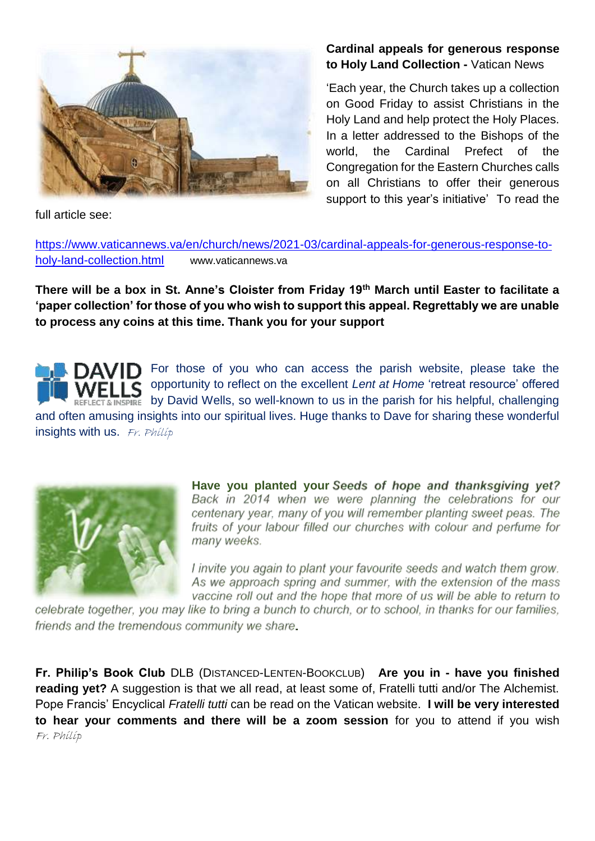

full article see:

#### **Cardinal appeals for [generous](https://www.vaticannews.va/en/church/news/2021-03/cardinal-appeals-for-generous-response-to-holy-land-collection.html) response to Holy Land [Collection](https://www.vaticannews.va/en/church/news/2021-03/cardinal-appeals-for-generous-response-to-holy-land-collection.html) -** Vatican News

'Each year, the Church takes up a collection on Good Friday to assist Christians in the Holy Land and help protect the Holy Places. In a letter addressed to the Bishops of the world, the Cardinal Prefect of the Congregation for the Eastern Churches calls on all Christians to offer their generous support to this year's initiative' To read the

[https://www.vaticannews.va/en/church/news/2021-03/cardinal-appeals-for-generous-response-to](https://www.vaticannews.va/en/church/news/2021-03/cardinal-appeals-for-generous-response-to-holy-land-collection.html)[holy-land-collection.html](https://www.vaticannews.va/en/church/news/2021-03/cardinal-appeals-for-generous-response-to-holy-land-collection.html) www.vaticannews.va

**There will be a box in St. Anne's Cloister from Friday 19th March until Easter to facilitate a 'paper collection' for those of you who wish to support this appeal. Regrettably we are unable to process any coins at this time. Thank you for your support** 

For those of you who can access the parish website, please take the opportunity to reflect on the excellent *Lent at Home* 'retreat resource' offered by David Wells, so well-known to us in the parish for his helpful, challenging and often amusing insights into our spiritual lives. Huge thanks to Dave for sharing these wonderful insights with us.  $Fr.$  Philip



**Have you planted your Seeds of hope and thanksgiving yet?**<br>Back in 2014 when we were planning the celebrations for our centenary year, many of you will remember planting sweet peas. The fruits of your labour filled our churches with colour and perfume for many weeks.

I invite you again to plant your favourite seeds and watch them grow. As we approach spring and summer, with the extension of the mass vaccine roll out and the hope that more of us will be able to return to

celebrate together, you may like to bring a bunch to church, or to school, in thanks for our families, friends and the tremendous community we share

**Fr. Philip's Book Club** DLB (DISTANCED-LENTEN-BOOKCLUB) **Are you in - have you finished reading yet?** A suggestion is that we all read, at least some of, Fratelli tutti and/or The Alchemist. Pope Francis' Encyclical *Fratelli tutti* can be read on the Vatican website. **I will be very interested to hear your comments and there will be a zoom session** for you to attend if you wish Fr. Philip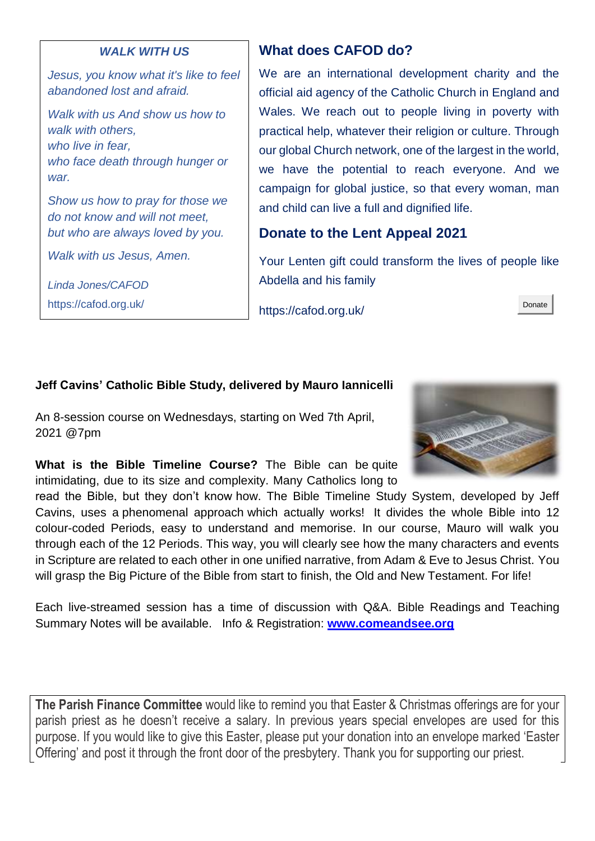#### *WALK WITH US*

*Jesus, you know what it's like to feel abandoned lost and afraid.*

*Walk with us And show us how to walk with others, who live in fear, who face death through hunger or war.*

*Show us how to pray for those we do not know and will not meet, but who are always loved by you.*

*Walk with us Jesus, Amen.*

*Linda Jones/CAFOD* 

https://cafod.org.uk/

## **What does CAFOD do?**

We are an international development charity and the official aid agency of the Catholic Church in England and Wales. We reach out to people living in poverty with practical help, whatever their religion or culture. Through our global Church network, one of the largest in the world, we have the potential to reach everyone. And we campaign for global justice, so that every woman, man and child can live a full and dignified life.

## **Donate to the Lent Appeal 2021**

Your Lenten gift could transform the lives of people like Abdella and his family

https://cafod.org.uk/



 $\mathbf{r}$ 

## **Jeff Cavins' Catholic Bible Study, delivered by Mauro Iannicelli**

An 8-session course on Wednesdays, starting on Wed 7th April, 2021 @7pm

**What is the Bible Timeline Course?** The Bible can be quite intimidating, due to its size and complexity. Many Catholics long to



read the Bible, but they don't know how. The Bible Timeline Study System, developed by Jeff Cavins, uses a phenomenal approach which actually works! It divides the whole Bible into 12 colour-coded Periods, easy to understand and memorise. In our course, Mauro will walk you through each of the 12 Periods. This way, you will clearly see how the many characters and events in Scripture are related to each other in one unified narrative, from Adam & Eve to Jesus Christ. You will grasp the Big Picture of the Bible from start to finish, the Old and New Testament. For life!

Each live-streamed session has a time of discussion with Q&A. Bible Readings and Teaching Summary Notes will be available. Info & Registration: **[www.comeandsee.org](http://www.comeandsee.org/)**

**The Parish Finance Committee** would like to remind you that Easter & Christmas offerings are for your parish priest as he doesn't receive a salary. In previous years special envelopes are used for this purpose. If you would like to give this Easter, please put your donation into an envelope marked 'Easter Offering' and post it through the front door of the presbytery. Thank you for supporting our priest.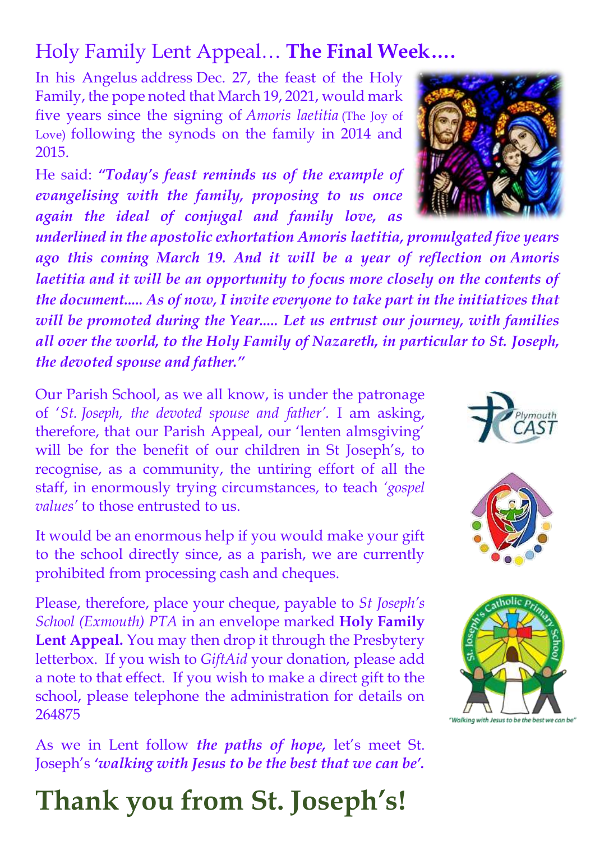# Holy Family Lent Appeal… **The Final Week….**

In his Angelus [address](http://www.vatican.va/content/francesco/en/angelus/2020/documents/papa-francesco_angelus_20201227.html) Dec. 27, the feast of the Holy Family, the pope noted that March 19, 2021, would mark five years since the signing of *Amoris laetitia* (The Joy of Love) following the synods on the family in 2014 and 2015.

He said: *"Today's feast reminds us of the example of evangelising with the family, proposing to us once again the ideal of conjugal and family love, as* 

*underlined in the apostolic exhortation Amoris laetitia, promulgated five years ago this coming March 19. And it will be a year of reflection on Amoris laetitia and it will be an opportunity to focus more closely on the contents of the document..... As of now, I invite everyone to take part in the initiatives that will be promoted during the Year..... Let us entrust our journey, with families all over the world, to the Holy Family of Nazareth, in particular to St. Joseph, the devoted spouse and father."*

Our Parish School, as we all know, is under the patronage of '*St. Joseph, the devoted spouse and father'.* I am asking, therefore, that our Parish Appeal, our 'lenten almsgiving' will be for the benefit of our children in St Joseph's, to recognise, as a community, the untiring effort of all the staff, in enormously trying circumstances, to teach *'gospel values'* to those entrusted to us.

It would be an enormous help if you would make your gift to the school directly since, as a parish, we are currently prohibited from processing cash and cheques.

Please, therefore, place your cheque, payable to *St Joseph's School (Exmouth) PTA* in an envelope marked **Holy Family Lent Appeal.** You may then drop it through the Presbytery letterbox. If you wish to *GiftAid* your donation, please add a note to that effect. If you wish to make a direct gift to the school, please telephone the administration for details on 264875

As we in Lent follow *the paths of hope,* let's meet St. Joseph's *'walking with Jesus to be the best that we can be'.*

# **Thank you from St. Joseph's!**